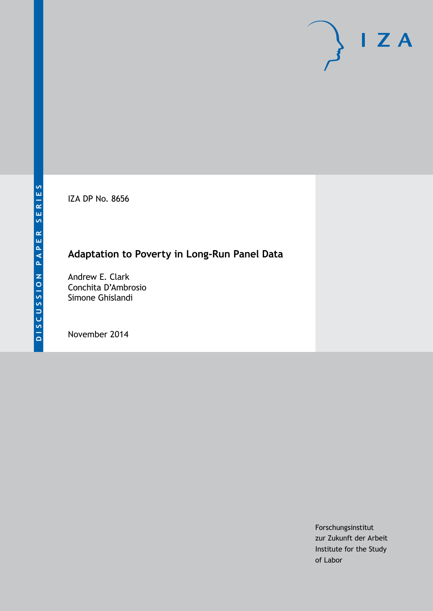IZA DP No. 8656

# **Adaptation to Poverty in Long-Run Panel Data**

Andrew E. Clark Conchita D'Ambrosio Simone Ghislandi

November 2014

Forschungsinstitut zur Zukunft der Arbeit Institute for the Study of Labor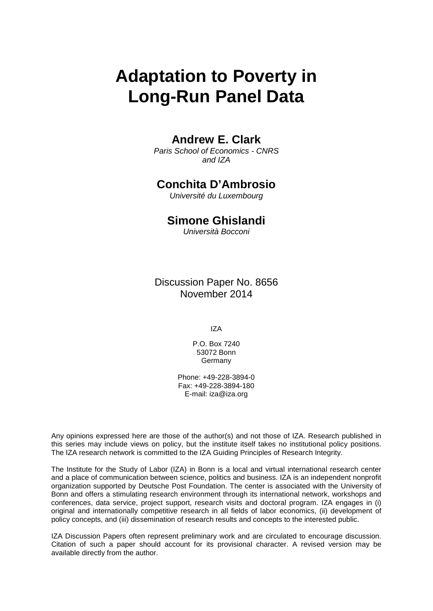# **Adaptation to Poverty in Long-Run Panel Data**

### **Andrew E. Clark**

*Paris School of Economics - CNRS and IZA*

### **Conchita D'Ambrosio**

*Université du Luxembourg*

### **Simone Ghislandi**

*Università Bocconi*

Discussion Paper No. 8656 November 2014

IZA

P.O. Box 7240 53072 Bonn **Germany** 

Phone: +49-228-3894-0 Fax: +49-228-3894-180 E-mail: [iza@iza.org](mailto:iza@iza.org)

Any opinions expressed here are those of the author(s) and not those of IZA. Research published in this series may include views on policy, but the institute itself takes no institutional policy positions. The IZA research network is committed to the IZA Guiding Principles of Research Integrity.

<span id="page-1-0"></span>The Institute for the Study of Labor (IZA) in Bonn is a local and virtual international research center and a place of communication between science, politics and business. IZA is an independent nonprofit organization supported by Deutsche Post Foundation. The center is associated with the University of Bonn and offers a stimulating research environment through its international network, workshops and conferences, data service, project support, research visits and doctoral program. IZA engages in (i) original and internationally competitive research in all fields of labor economics, (ii) development of policy concepts, and (iii) dissemination of research results and concepts to the interested public.

IZA Discussion Papers often represent preliminary work and are circulated to encourage discussion. Citation of such a paper should account for its provisional character. A revised version may be available directly from the author.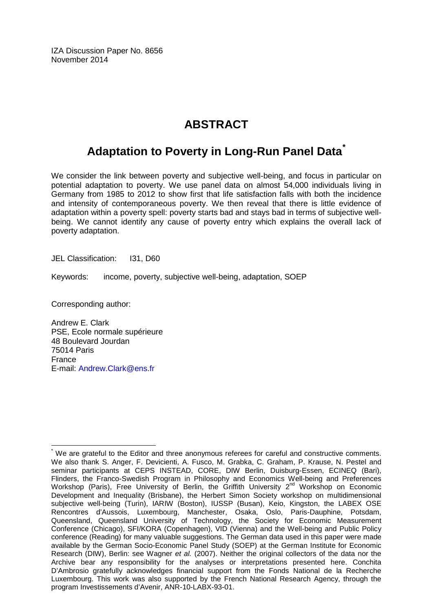IZA Discussion Paper No. 8656 November 2014

# **ABSTRACT**

# **Adaptation to Poverty in Long-Run Panel Data[\\*](#page-1-0)**

We consider the link between poverty and subjective well-being, and focus in particular on potential adaptation to poverty. We use panel data on almost 54,000 individuals living in Germany from 1985 to 2012 to show first that life satisfaction falls with both the incidence and intensity of contemporaneous poverty. We then reveal that there is little evidence of adaptation within a poverty spell: poverty starts bad and stays bad in terms of subjective wellbeing. We cannot identify any cause of poverty entry which explains the overall lack of poverty adaptation.

JEL Classification: 131, D60

Keywords: income, poverty, subjective well-being, adaptation, SOEP

Corresponding author:

Andrew E. Clark PSE, Ecole normale supérieure 48 Boulevard Jourdan 75014 Paris France E-mail: [Andrew.Clark@ens.fr](mailto:Andrew.Clark@ens.fr)

We are grateful to the Editor and three anonymous referees for careful and constructive comments. We also thank S. Anger, F. Devicienti, A. Fusco, M. Grabka, C. Graham, P. Krause, N. Pestel and seminar participants at CEPS INSTEAD, CORE, DIW Berlin, Duisburg-Essen, ECINEQ (Bari), Flinders, the Franco-Swedish Program in Philosophy and Economics Well-being and Preferences Workshop (Paris), Free University of Berlin, the Griffith University 2<sup>nd</sup> Workshop on Economic Development and Inequality (Brisbane), the Herbert Simon Society workshop on multidimensional subjective well-being (Turin), IARIW (Boston), IUSSP (Busan), Keio, Kingston, the LABEX OSE Rencontres d'Aussois, Luxembourg, Manchester, Osaka, Oslo, Paris-Dauphine, Potsdam, Queensland, Queensland University of Technology, the Society for Economic Measurement Conference (Chicago), SFI/KORA (Copenhagen), VID (Vienna) and the Well-being and Public Policy conference (Reading) for many valuable suggestions. The German data used in this paper were made available by the German Socio-Economic Panel Study (SOEP) at the German Institute for Economic Research (DIW), Berlin: see Wagner *et al.* (2007). Neither the original collectors of the data nor the Archive bear any responsibility for the analyses or interpretations presented here. Conchita D'Ambrosio gratefully acknowledges financial support from the Fonds National de la Recherche Luxembourg. This work was also supported by the French National Research Agency, through the program Investissements d'Avenir, ANR-10-LABX-93-01.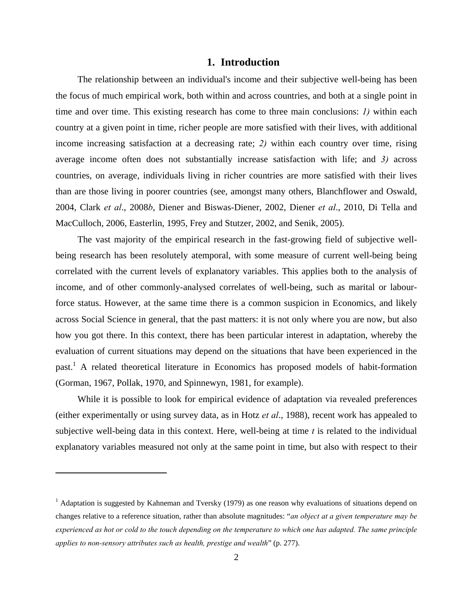#### **1. Introduction**

The relationship between an individual's income and their subjective well-being has been the focus of much empirical work, both within and across countries, and both at a single point in time and over time. This existing research has come to three main conclusions: *1)* within each country at a given point in time, richer people are more satisfied with their lives, with additional income increasing satisfaction at a decreasing rate; *2)* within each country over time, rising average income often does not substantially increase satisfaction with life; and *3)* across countries, on average, individuals living in richer countries are more satisfied with their lives than are those living in poorer countries (see, amongst many others, Blanchflower and Oswald, 2004, Clark *et al*., 2008*b*, Diener and Biswas-Diener, 2002, Diener *et al*., 2010, Di Tella and MacCulloch, 2006, Easterlin, 1995, Frey and Stutzer, 2002, and Senik, 2005).

The vast majority of the empirical research in the fast-growing field of subjective wellbeing research has been resolutely atemporal, with some measure of current well-being being correlated with the current levels of explanatory variables. This applies both to the analysis of income, and of other commonly-analysed correlates of well-being, such as marital or labourforce status. However, at the same time there is a common suspicion in Economics, and likely across Social Science in general, that the past matters: it is not only where you are now, but also how you got there. In this context, there has been particular interest in adaptation, whereby the evaluation of current situations may depend on the situations that have been experienced in the past.<sup>1</sup> A related theoretical literature in Economics has proposed models of habit-formation (Gorman, 1967, Pollak, 1970, and Spinnewyn, 1981, for example).

While it is possible to look for empirical evidence of adaptation via revealed preferences (either experimentally or using survey data, as in Hotz *et al*., 1988), recent work has appealed to subjective well-being data in this context. Here, well-being at time *t* is related to the individual explanatory variables measured not only at the same point in time, but also with respect to their

<sup>&</sup>lt;sup>1</sup> Adaptation is suggested by Kahneman and Tversky (1979) as one reason why evaluations of situations depend on changes relative to a reference situation, rather than absolute magnitudes: "*an object at a given temperature may be experienced as hot or cold to the touch depending on the temperature to which one has adapted. The same principle applies to non-sensory attributes such as health, prestige and wealth*" (p. 277).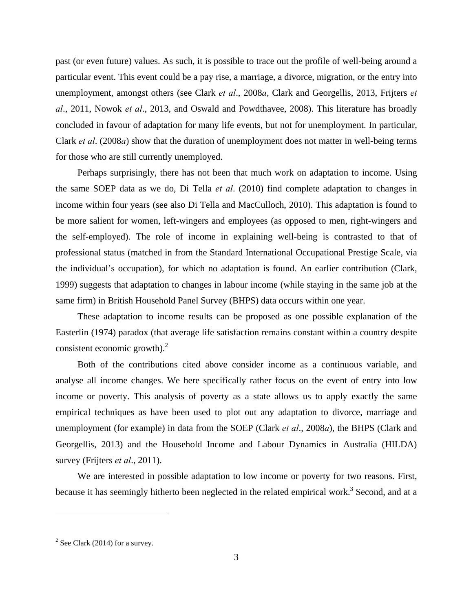past (or even future) values. As such, it is possible to trace out the profile of well-being around a particular event. This event could be a pay rise, a marriage, a divorce, migration, or the entry into unemployment, amongst others (see Clark *et al*., 2008*a*, Clark and Georgellis, 2013, Frijters *et al*., 2011, Nowok *et al*., 2013, and Oswald and Powdthavee, 2008). This literature has broadly concluded in favour of adaptation for many life events, but not for unemployment. In particular, Clark *et al*. (2008*a*) show that the duration of unemployment does not matter in well-being terms for those who are still currently unemployed.

Perhaps surprisingly, there has not been that much work on adaptation to income. Using the same SOEP data as we do, Di Tella *et al*. (2010) find complete adaptation to changes in income within four years (see also Di Tella and MacCulloch, 2010). This adaptation is found to be more salient for women, left-wingers and employees (as opposed to men, right-wingers and the self-employed). The role of income in explaining well-being is contrasted to that of professional status (matched in from the Standard International Occupational Prestige Scale, via the individual's occupation), for which no adaptation is found. An earlier contribution (Clark, 1999) suggests that adaptation to changes in labour income (while staying in the same job at the same firm) in British Household Panel Survey (BHPS) data occurs within one year.

These adaptation to income results can be proposed as one possible explanation of the Easterlin (1974) paradox (that average life satisfaction remains constant within a country despite consistent economic growth). $^{2}$ 

Both of the contributions cited above consider income as a continuous variable, and analyse all income changes. We here specifically rather focus on the event of entry into low income or poverty. This analysis of poverty as a state allows us to apply exactly the same empirical techniques as have been used to plot out any adaptation to divorce, marriage and unemployment (for example) in data from the SOEP (Clark *et al*., 2008*a*), the BHPS (Clark and Georgellis, 2013) and the Household Income and Labour Dynamics in Australia (HILDA) survey (Frijters *et al*., 2011).

We are interested in possible adaptation to low income or poverty for two reasons. First, because it has seemingly hitherto been neglected in the related empirical work.<sup>3</sup> Second, and at a

 $2^2$  See Clark (2014) for a survey.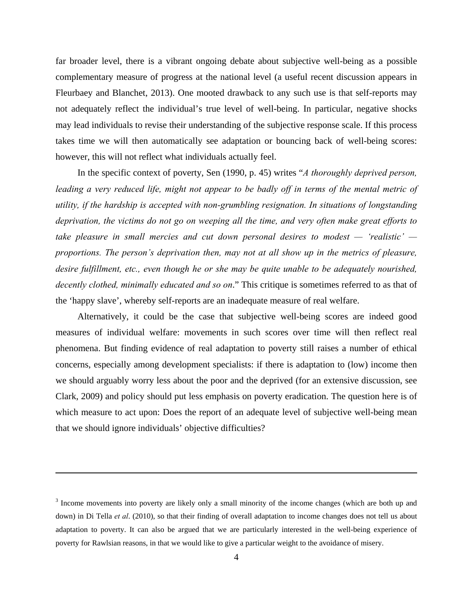far broader level, there is a vibrant ongoing debate about subjective well-being as a possible complementary measure of progress at the national level (a useful recent discussion appears in Fleurbaey and Blanchet, 2013). One mooted drawback to any such use is that self-reports may not adequately reflect the individual's true level of well-being. In particular, negative shocks may lead individuals to revise their understanding of the subjective response scale. If this process takes time we will then automatically see adaptation or bouncing back of well-being scores: however, this will not reflect what individuals actually feel.

In the specific context of poverty, Sen (1990, p. 45) writes "*A thoroughly deprived person,*  leading a very reduced life, might not appear to be badly off in terms of the mental metric of *utility, if the hardship is accepted with non-grumbling resignation. In situations of longstanding deprivation, the victims do not go on weeping all the time, and very often make great efforts to take pleasure in small mercies and cut down personal desires to modest — 'realistic' proportions. The person's deprivation then, may not at all show up in the metrics of pleasure, desire fulfillment, etc., even though he or she may be quite unable to be adequately nourished, decently clothed, minimally educated and so on*." This critique is sometimes referred to as that of the 'happy slave', whereby self-reports are an inadequate measure of real welfare.

Alternatively, it could be the case that subjective well-being scores are indeed good measures of individual welfare: movements in such scores over time will then reflect real phenomena. But finding evidence of real adaptation to poverty still raises a number of ethical concerns, especially among development specialists: if there is adaptation to (low) income then we should arguably worry less about the poor and the deprived (for an extensive discussion, see Clark, 2009) and policy should put less emphasis on poverty eradication. The question here is of which measure to act upon: Does the report of an adequate level of subjective well-being mean that we should ignore individuals' objective difficulties?

<sup>&</sup>lt;sup>3</sup> Income movements into poverty are likely only a small minority of the income changes (which are both up and down) in Di Tella *et al*. (2010), so that their finding of overall adaptation to income changes does not tell us about adaptation to poverty. It can also be argued that we are particularly interested in the well-being experience of poverty for Rawlsian reasons, in that we would like to give a particular weight to the avoidance of misery.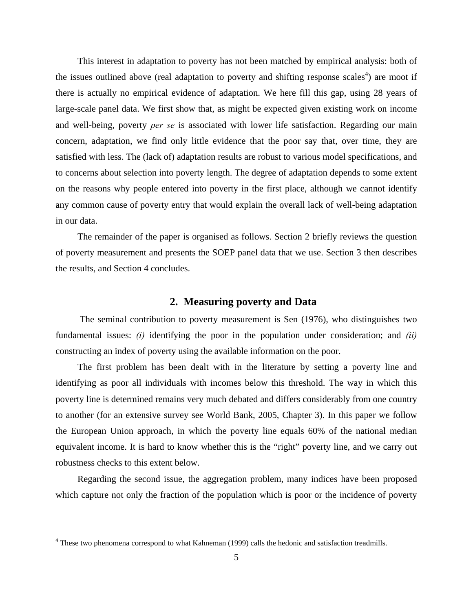This interest in adaptation to poverty has not been matched by empirical analysis: both of the issues outlined above (real adaptation to poverty and shifting response scales<sup>4</sup>) are moot if there is actually no empirical evidence of adaptation. We here fill this gap, using 28 years of large-scale panel data. We first show that, as might be expected given existing work on income and well-being, poverty *per se* is associated with lower life satisfaction. Regarding our main concern, adaptation, we find only little evidence that the poor say that, over time, they are satisfied with less. The (lack of) adaptation results are robust to various model specifications, and to concerns about selection into poverty length. The degree of adaptation depends to some extent on the reasons why people entered into poverty in the first place, although we cannot identify any common cause of poverty entry that would explain the overall lack of well-being adaptation in our data.

The remainder of the paper is organised as follows. Section 2 briefly reviews the question of poverty measurement and presents the SOEP panel data that we use. Section 3 then describes the results, and Section 4 concludes.

#### **2. Measuring poverty and Data**

 The seminal contribution to poverty measurement is Sen (1976), who distinguishes two fundamental issues: *(i)* identifying the poor in the population under consideration; and *(ii)* constructing an index of poverty using the available information on the poor.

The first problem has been dealt with in the literature by setting a poverty line and identifying as poor all individuals with incomes below this threshold. The way in which this poverty line is determined remains very much debated and differs considerably from one country to another (for an extensive survey see World Bank, 2005, Chapter 3). In this paper we follow the European Union approach, in which the poverty line equals 60% of the national median equivalent income. It is hard to know whether this is the "right" poverty line, and we carry out robustness checks to this extent below.

Regarding the second issue, the aggregation problem, many indices have been proposed which capture not only the fraction of the population which is poor or the incidence of poverty

1

<sup>&</sup>lt;sup>4</sup> These two phenomena correspond to what Kahneman (1999) calls the hedonic and satisfaction treadmills.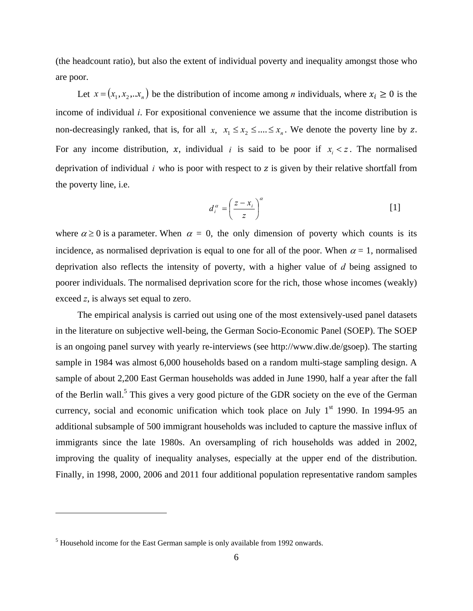(the headcount ratio), but also the extent of individual poverty and inequality amongst those who are poor.

Let  $x = (x_1, x_2, \dots, x_n)$  be the distribution of income among *n* individuals, where  $x_i \ge 0$  is the income of individual *i*. For expositional convenience we assume that the income distribution is non-decreasingly ranked, that is, for all *x*,  $x_1 \le x_2 \le ... \le x_n$ . We denote the poverty line by *z*. For any income distribution, x, individual *i* is said to be poor if  $x_i < z$ . The normalised deprivation of individual  $i$  who is poor with respect to  $z$  is given by their relative shortfall from the poverty line, i.e.

$$
d_i^{\alpha} = \left(\frac{z - x_i}{z}\right)^{\alpha} \tag{1}
$$

where  $\alpha \ge 0$  is a parameter. When  $\alpha = 0$ , the only dimension of poverty which counts is its incidence, as normalised deprivation is equal to one for all of the poor. When  $\alpha = 1$ , normalised deprivation also reflects the intensity of poverty, with a higher value of *d* being assigned to poorer individuals. The normalised deprivation score for the rich, those whose incomes (weakly) exceed *z*, is always set equal to zero.

The empirical analysis is carried out using one of the most extensively-used panel datasets in the literature on subjective well-being, the German Socio-Economic Panel (SOEP). The SOEP is an ongoing panel survey with yearly re-interviews (see http://www.diw.de/gsoep). The starting sample in 1984 was almost 6,000 households based on a random multi-stage sampling design. A sample of about 2,200 East German households was added in June 1990, half a year after the fall of the Berlin wall.<sup>5</sup> This gives a very good picture of the GDR society on the eve of the German currency, social and economic unification which took place on July  $1<sup>st</sup>$  1990. In 1994-95 an additional subsample of 500 immigrant households was included to capture the massive influx of immigrants since the late 1980s. An oversampling of rich households was added in 2002, improving the quality of inequality analyses, especially at the upper end of the distribution. Finally, in 1998, 2000, 2006 and 2011 four additional population representative random samples

 $<sup>5</sup>$  Household income for the East German sample is only available from 1992 onwards.</sup>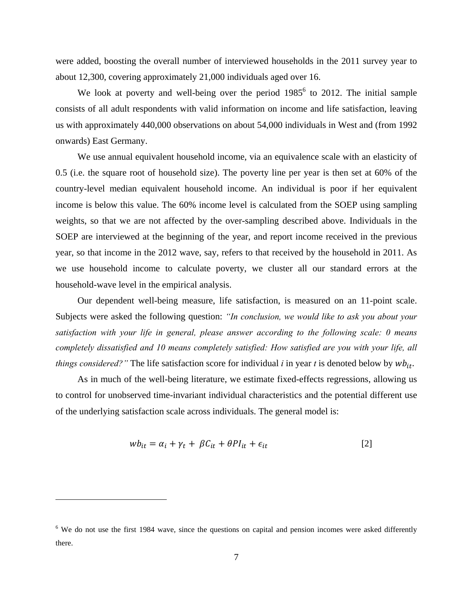were added, boosting the overall number of interviewed households in the 2011 survey year to about 12,300, covering approximately 21,000 individuals aged over 16.

We look at poverty and well-being over the period  $1985^6$  to 2012. The initial sample consists of all adult respondents with valid information on income and life satisfaction, leaving us with approximately 440,000 observations on about 54,000 individuals in West and (from 1992 onwards) East Germany.

We use annual equivalent household income, via an equivalence scale with an elasticity of 0.5 (i.e. the square root of household size). The poverty line per year is then set at 60% of the country-level median equivalent household income. An individual is poor if her equivalent income is below this value. The 60% income level is calculated from the SOEP using sampling weights, so that we are not affected by the over-sampling described above. Individuals in the SOEP are interviewed at the beginning of the year, and report income received in the previous year, so that income in the 2012 wave, say, refers to that received by the household in 2011. As we use household income to calculate poverty, we cluster all our standard errors at the household-wave level in the empirical analysis.

Our dependent well-being measure, life satisfaction, is measured on an 11-point scale. Subjects were asked the following question: *"In conclusion, we would like to ask you about your satisfaction with your life in general, please answer according to the following scale: 0 means completely dissatisfied and 10 means completely satisfied: How satisfied are you with your life, all things considered?"* The life satisfaction score for individual *i* in year *t* is denoted below by  $wb_{it}$ .

As in much of the well-being literature, we estimate fixed-effects regressions, allowing us to control for unobserved time-invariant individual characteristics and the potential different use of the underlying satisfaction scale across individuals. The general model is:

$$
wb_{it} = \alpha_i + \gamma_t + \beta C_{it} + \theta Pl_{it} + \epsilon_{it}
$$
\n[2]

<sup>&</sup>lt;sup>6</sup> We do not use the first 1984 wave, since the questions on capital and pension incomes were asked differently there.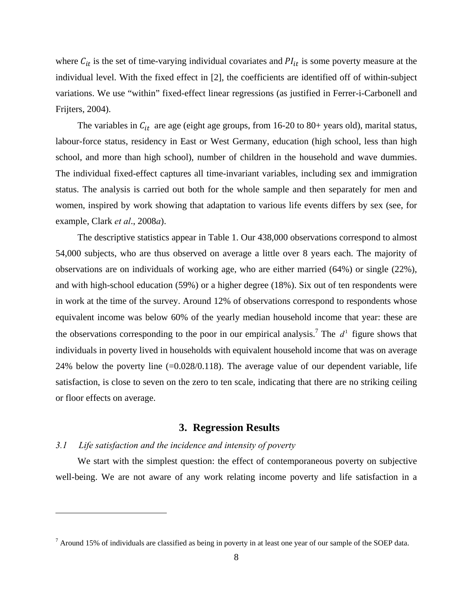where  $C_{it}$  is the set of time-varying individual covariates and  $PI_{it}$  is some poverty measure at the individual level. With the fixed effect in [2], the coefficients are identified off of within-subject variations. We use "within" fixed-effect linear regressions (as justified in Ferrer-i-Carbonell and Frijters, 2004).

The variables in  $C_{it}$  are age (eight age groups, from 16-20 to 80+ years old), marital status, labour-force status, residency in East or West Germany, education (high school, less than high school, and more than high school), number of children in the household and wave dummies. The individual fixed-effect captures all time-invariant variables, including sex and immigration status. The analysis is carried out both for the whole sample and then separately for men and women, inspired by work showing that adaptation to various life events differs by sex (see, for example, Clark *et al*., 2008*a*).

The descriptive statistics appear in Table 1. Our 438,000 observations correspond to almost 54,000 subjects, who are thus observed on average a little over 8 years each. The majority of observations are on individuals of working age, who are either married (64%) or single (22%), and with high-school education (59%) or a higher degree (18%). Six out of ten respondents were in work at the time of the survey. Around 12% of observations correspond to respondents whose equivalent income was below 60% of the yearly median household income that year: these are the observations corresponding to the poor in our empirical analysis.<sup>7</sup> The  $d<sup>1</sup>$  figure shows that individuals in poverty lived in households with equivalent household income that was on average 24% below the poverty line  $(-0.028/0.118)$ . The average value of our dependent variable, life satisfaction, is close to seven on the zero to ten scale, indicating that there are no striking ceiling or floor effects on average.

#### **3. Regression Results**

#### *3.1 Life satisfaction and the incidence and intensity of poverty*

 $\overline{a}$ 

We start with the simplest question: the effect of contemporaneous poverty on subjective well-being. We are not aware of any work relating income poverty and life satisfaction in a

 $<sup>7</sup>$  Around 15% of individuals are classified as being in poverty in at least one year of our sample of the SOEP data.</sup>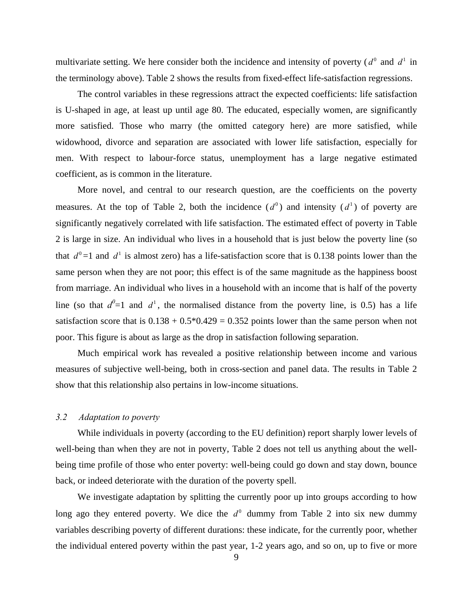multivariate setting. We here consider both the incidence and intensity of poverty ( $d^0$  and  $d^1$  in the terminology above). Table 2 shows the results from fixed-effect life-satisfaction regressions.

The control variables in these regressions attract the expected coefficients: life satisfaction is U-shaped in age, at least up until age 80. The educated, especially women, are significantly more satisfied. Those who marry (the omitted category here) are more satisfied, while widowhood, divorce and separation are associated with lower life satisfaction, especially for men. With respect to labour-force status, unemployment has a large negative estimated coefficient, as is common in the literature.

More novel, and central to our research question, are the coefficients on the poverty measures. At the top of Table 2, both the incidence  $(d^0)$  and intensity  $(d^1)$  of poverty are significantly negatively correlated with life satisfaction. The estimated effect of poverty in Table 2 is large in size. An individual who lives in a household that is just below the poverty line (so that  $d^0 = 1$  and  $d^1$  is almost zero) has a life-satisfaction score that is 0.138 points lower than the same person when they are not poor; this effect is of the same magnitude as the happiness boost from marriage. An individual who lives in a household with an income that is half of the poverty line (so that  $d^0=1$  and  $d^1$ , the normalised distance from the poverty line, is 0.5) has a life satisfaction score that is  $0.138 + 0.5*0.429 = 0.352$  points lower than the same person when not poor. This figure is about as large as the drop in satisfaction following separation.

Much empirical work has revealed a positive relationship between income and various measures of subjective well-being, both in cross-section and panel data. The results in Table 2 show that this relationship also pertains in low-income situations.

#### *3.2 Adaptation to poverty*

While individuals in poverty (according to the EU definition) report sharply lower levels of well-being than when they are not in poverty, Table 2 does not tell us anything about the wellbeing time profile of those who enter poverty: well-being could go down and stay down, bounce back, or indeed deteriorate with the duration of the poverty spell.

We investigate adaptation by splitting the currently poor up into groups according to how long ago they entered poverty. We dice the  $d^0$  dummy from Table 2 into six new dummy variables describing poverty of different durations: these indicate, for the currently poor, whether the individual entered poverty within the past year, 1-2 years ago, and so on, up to five or more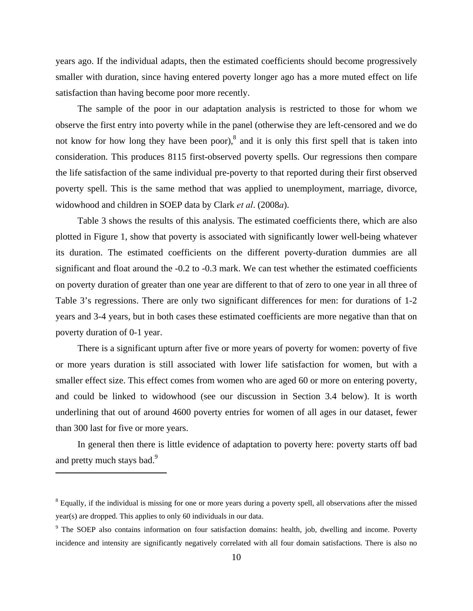years ago. If the individual adapts, then the estimated coefficients should become progressively smaller with duration, since having entered poverty longer ago has a more muted effect on life satisfaction than having become poor more recently.

The sample of the poor in our adaptation analysis is restricted to those for whom we observe the first entry into poverty while in the panel (otherwise they are left-censored and we do not know for how long they have been poor), $8$  and it is only this first spell that is taken into consideration. This produces 8115 first-observed poverty spells. Our regressions then compare the life satisfaction of the same individual pre-poverty to that reported during their first observed poverty spell. This is the same method that was applied to unemployment, marriage, divorce, widowhood and children in SOEP data by Clark *et al*. (2008*a*).

Table 3 shows the results of this analysis. The estimated coefficients there, which are also plotted in Figure 1, show that poverty is associated with significantly lower well-being whatever its duration. The estimated coefficients on the different poverty-duration dummies are all significant and float around the -0.2 to -0.3 mark. We can test whether the estimated coefficients on poverty duration of greater than one year are different to that of zero to one year in all three of Table 3's regressions. There are only two significant differences for men: for durations of 1-2 years and 3-4 years, but in both cases these estimated coefficients are more negative than that on poverty duration of 0-1 year.

There is a significant upturn after five or more years of poverty for women: poverty of five or more years duration is still associated with lower life satisfaction for women, but with a smaller effect size. This effect comes from women who are aged 60 or more on entering poverty, and could be linked to widowhood (see our discussion in Section 3.4 below). It is worth underlining that out of around 4600 poverty entries for women of all ages in our dataset, fewer than 300 last for five or more years.

In general then there is little evidence of adaptation to poverty here: poverty starts off bad and pretty much stays bad.<sup>9</sup>

 $8$  Equally, if the individual is missing for one or more years during a poverty spell, all observations after the missed year(s) are dropped. This applies to only 60 individuals in our data.

<sup>&</sup>lt;sup>9</sup> The SOEP also contains information on four satisfaction domains: health, job, dwelling and income. Poverty incidence and intensity are significantly negatively correlated with all four domain satisfactions. There is also no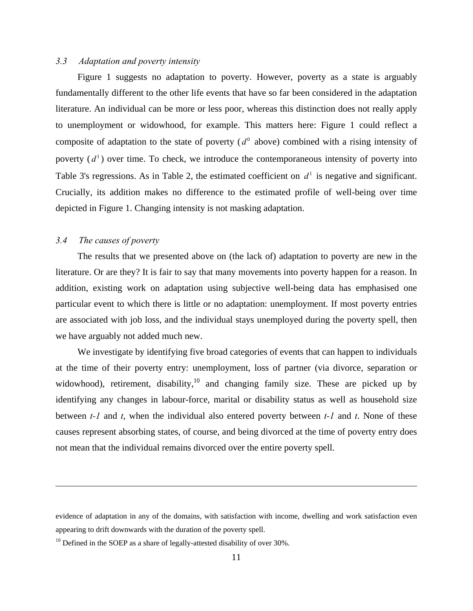#### *3.3 Adaptation and poverty intensity*

Figure 1 suggests no adaptation to poverty. However, poverty as a state is arguably fundamentally different to the other life events that have so far been considered in the adaptation literature. An individual can be more or less poor, whereas this distinction does not really apply to unemployment or widowhood, for example. This matters here: Figure 1 could reflect a composite of adaptation to the state of poverty  $(d^0)$  above) combined with a rising intensity of poverty  $(d<sup>1</sup>)$  over time. To check, we introduce the contemporaneous intensity of poverty into Table 3's regressions. As in Table 2, the estimated coefficient on  $d<sup>1</sup>$  is negative and significant. Crucially, its addition makes no difference to the estimated profile of well-being over time depicted in Figure 1. Changing intensity is not masking adaptation.

#### *3.4 The causes of poverty*

1

The results that we presented above on (the lack of) adaptation to poverty are new in the literature. Or are they? It is fair to say that many movements into poverty happen for a reason. In addition, existing work on adaptation using subjective well-being data has emphasised one particular event to which there is little or no adaptation: unemployment. If most poverty entries are associated with job loss, and the individual stays unemployed during the poverty spell, then we have arguably not added much new.

We investigate by identifying five broad categories of events that can happen to individuals at the time of their poverty entry: unemployment, loss of partner (via divorce, separation or widowhood), retirement, disability, $10$  and changing family size. These are picked up by identifying any changes in labour-force, marital or disability status as well as household size between *t-1* and *t*, when the individual also entered poverty between *t-1* and *t*. None of these causes represent absorbing states, of course, and being divorced at the time of poverty entry does not mean that the individual remains divorced over the entire poverty spell.

evidence of adaptation in any of the domains, with satisfaction with income, dwelling and work satisfaction even appearing to drift downwards with the duration of the poverty spell.

 $10$  Defined in the SOEP as a share of legally-attested disability of over 30%.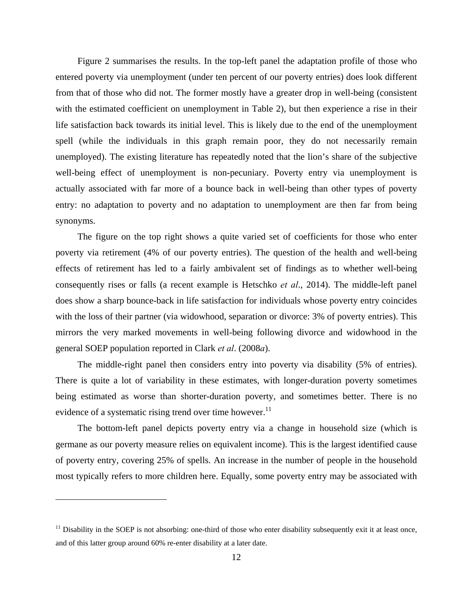Figure 2 summarises the results. In the top-left panel the adaptation profile of those who entered poverty via unemployment (under ten percent of our poverty entries) does look different from that of those who did not. The former mostly have a greater drop in well-being (consistent with the estimated coefficient on unemployment in Table 2), but then experience a rise in their life satisfaction back towards its initial level. This is likely due to the end of the unemployment spell (while the individuals in this graph remain poor, they do not necessarily remain unemployed). The existing literature has repeatedly noted that the lion's share of the subjective well-being effect of unemployment is non-pecuniary. Poverty entry via unemployment is actually associated with far more of a bounce back in well-being than other types of poverty entry: no adaptation to poverty and no adaptation to unemployment are then far from being synonyms.

The figure on the top right shows a quite varied set of coefficients for those who enter poverty via retirement (4% of our poverty entries). The question of the health and well-being effects of retirement has led to a fairly ambivalent set of findings as to whether well-being consequently rises or falls (a recent example is Hetschko *et al*., 2014). The middle-left panel does show a sharp bounce-back in life satisfaction for individuals whose poverty entry coincides with the loss of their partner (via widowhood, separation or divorce: 3% of poverty entries). This mirrors the very marked movements in well-being following divorce and widowhood in the general SOEP population reported in Clark *et al*. (2008*a*).

The middle-right panel then considers entry into poverty via disability (5% of entries). There is quite a lot of variability in these estimates, with longer-duration poverty sometimes being estimated as worse than shorter-duration poverty, and sometimes better. There is no evidence of a systematic rising trend over time however.<sup>11</sup>

The bottom-left panel depicts poverty entry via a change in household size (which is germane as our poverty measure relies on equivalent income). This is the largest identified cause of poverty entry, covering 25% of spells. An increase in the number of people in the household most typically refers to more children here. Equally, some poverty entry may be associated with

1

 $11$  Disability in the SOEP is not absorbing: one-third of those who enter disability subsequently exit it at least once, and of this latter group around 60% re-enter disability at a later date.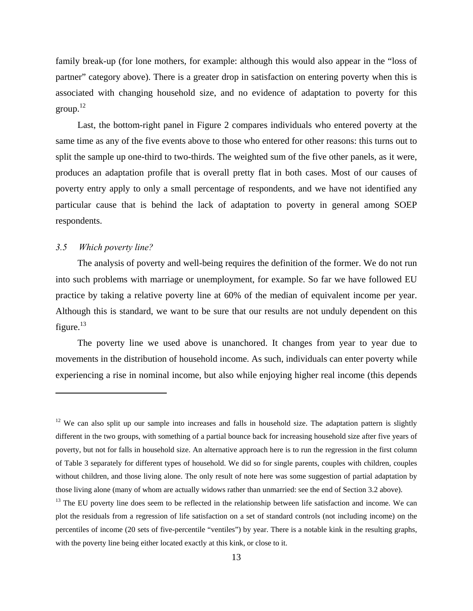family break-up (for lone mothers, for example: although this would also appear in the "loss of partner" category above). There is a greater drop in satisfaction on entering poverty when this is associated with changing household size, and no evidence of adaptation to poverty for this group.<sup>12</sup>

Last, the bottom-right panel in Figure 2 compares individuals who entered poverty at the same time as any of the five events above to those who entered for other reasons: this turns out to split the sample up one-third to two-thirds. The weighted sum of the five other panels, as it were, produces an adaptation profile that is overall pretty flat in both cases. Most of our causes of poverty entry apply to only a small percentage of respondents, and we have not identified any particular cause that is behind the lack of adaptation to poverty in general among SOEP respondents.

#### *3.5 Which poverty line?*

 $\overline{a}$ 

The analysis of poverty and well-being requires the definition of the former. We do not run into such problems with marriage or unemployment, for example. So far we have followed EU practice by taking a relative poverty line at 60% of the median of equivalent income per year. Although this is standard, we want to be sure that our results are not unduly dependent on this figure.<sup>13</sup>

The poverty line we used above is unanchored. It changes from year to year due to movements in the distribution of household income. As such, individuals can enter poverty while experiencing a rise in nominal income, but also while enjoying higher real income (this depends

 $12$  We can also split up our sample into increases and falls in household size. The adaptation pattern is slightly different in the two groups, with something of a partial bounce back for increasing household size after five years of poverty, but not for falls in household size. An alternative approach here is to run the regression in the first column of Table 3 separately for different types of household. We did so for single parents, couples with children, couples without children, and those living alone. The only result of note here was some suggestion of partial adaptation by those living alone (many of whom are actually widows rather than unmarried: see the end of Section 3.2 above).

 $<sup>13</sup>$  The EU poverty line does seem to be reflected in the relationship between life satisfaction and income. We can</sup> plot the residuals from a regression of life satisfaction on a set of standard controls (not including income) on the percentiles of income (20 sets of five-percentile "ventiles") by year. There is a notable kink in the resulting graphs, with the poverty line being either located exactly at this kink, or close to it.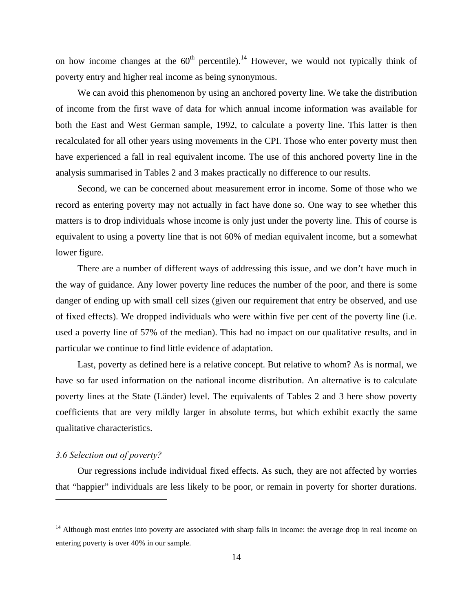on how income changes at the  $60<sup>th</sup>$  percentile).<sup>14</sup> However, we would not typically think of poverty entry and higher real income as being synonymous.

We can avoid this phenomenon by using an anchored poverty line. We take the distribution of income from the first wave of data for which annual income information was available for both the East and West German sample, 1992, to calculate a poverty line. This latter is then recalculated for all other years using movements in the CPI. Those who enter poverty must then have experienced a fall in real equivalent income. The use of this anchored poverty line in the analysis summarised in Tables 2 and 3 makes practically no difference to our results.

Second, we can be concerned about measurement error in income. Some of those who we record as entering poverty may not actually in fact have done so. One way to see whether this matters is to drop individuals whose income is only just under the poverty line. This of course is equivalent to using a poverty line that is not 60% of median equivalent income, but a somewhat lower figure.

There are a number of different ways of addressing this issue, and we don't have much in the way of guidance. Any lower poverty line reduces the number of the poor, and there is some danger of ending up with small cell sizes (given our requirement that entry be observed, and use of fixed effects). We dropped individuals who were within five per cent of the poverty line (i.e. used a poverty line of 57% of the median). This had no impact on our qualitative results, and in particular we continue to find little evidence of adaptation.

Last, poverty as defined here is a relative concept. But relative to whom? As is normal, we have so far used information on the national income distribution. An alternative is to calculate poverty lines at the State (Länder) level. The equivalents of Tables 2 and 3 here show poverty coefficients that are very mildly larger in absolute terms, but which exhibit exactly the same qualitative characteristics.

#### *3.6 Selection out of poverty?*

 $\overline{a}$ 

Our regressions include individual fixed effects. As such, they are not affected by worries that "happier" individuals are less likely to be poor, or remain in poverty for shorter durations.

 $14$  Although most entries into poverty are associated with sharp falls in income: the average drop in real income on entering poverty is over 40% in our sample.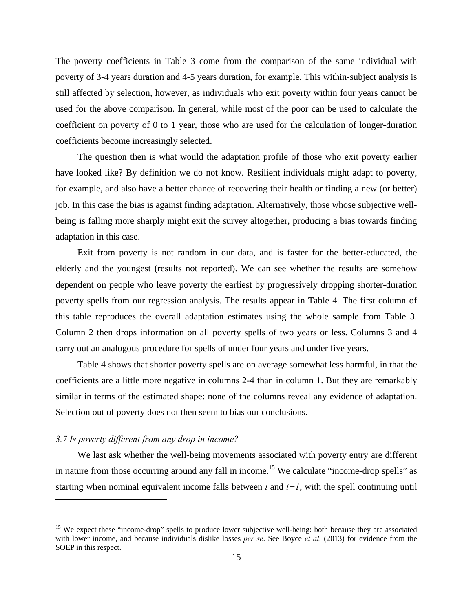The poverty coefficients in Table 3 come from the comparison of the same individual with poverty of 3-4 years duration and 4-5 years duration, for example. This within-subject analysis is still affected by selection, however, as individuals who exit poverty within four years cannot be used for the above comparison. In general, while most of the poor can be used to calculate the coefficient on poverty of 0 to 1 year, those who are used for the calculation of longer-duration coefficients become increasingly selected.

The question then is what would the adaptation profile of those who exit poverty earlier have looked like? By definition we do not know. Resilient individuals might adapt to poverty, for example, and also have a better chance of recovering their health or finding a new (or better) job. In this case the bias is against finding adaptation. Alternatively, those whose subjective wellbeing is falling more sharply might exit the survey altogether, producing a bias towards finding adaptation in this case.

Exit from poverty is not random in our data, and is faster for the better-educated, the elderly and the youngest (results not reported). We can see whether the results are somehow dependent on people who leave poverty the earliest by progressively dropping shorter-duration poverty spells from our regression analysis. The results appear in Table 4. The first column of this table reproduces the overall adaptation estimates using the whole sample from Table 3. Column 2 then drops information on all poverty spells of two years or less. Columns 3 and 4 carry out an analogous procedure for spells of under four years and under five years.

Table 4 shows that shorter poverty spells are on average somewhat less harmful, in that the coefficients are a little more negative in columns 2-4 than in column 1. But they are remarkably similar in terms of the estimated shape: none of the columns reveal any evidence of adaptation. Selection out of poverty does not then seem to bias our conclusions.

#### *3.7 Is poverty different from any drop in income?*

 $\overline{a}$ 

We last ask whether the well-being movements associated with poverty entry are different in nature from those occurring around any fall in income.<sup>15</sup> We calculate "income-drop spells" as starting when nominal equivalent income falls between *t* and *t+1*, with the spell continuing until

<sup>&</sup>lt;sup>15</sup> We expect these "income-drop" spells to produce lower subjective well-being: both because they are associated with lower income, and because individuals dislike losses *per se*. See Boyce *et al*. (2013) for evidence from the SOEP in this respect.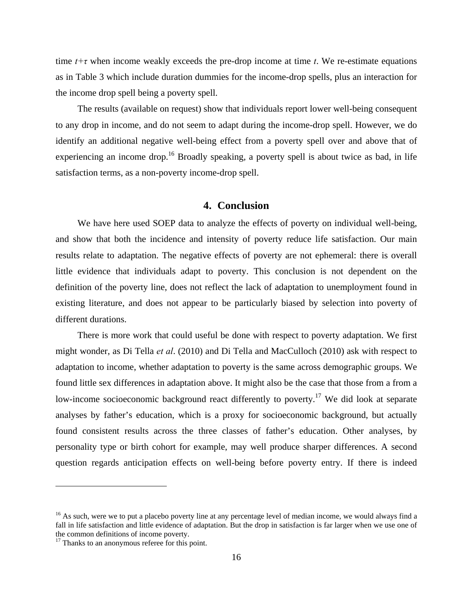time  $t+\tau$  when income weakly exceeds the pre-drop income at time  $t$ . We re-estimate equations as in Table 3 which include duration dummies for the income-drop spells, plus an interaction for the income drop spell being a poverty spell.

The results (available on request) show that individuals report lower well-being consequent to any drop in income, and do not seem to adapt during the income-drop spell. However, we do identify an additional negative well-being effect from a poverty spell over and above that of experiencing an income drop.<sup>16</sup> Broadly speaking, a poverty spell is about twice as bad, in life satisfaction terms, as a non-poverty income-drop spell.

#### **4. Conclusion**

We have here used SOEP data to analyze the effects of poverty on individual well-being, and show that both the incidence and intensity of poverty reduce life satisfaction. Our main results relate to adaptation. The negative effects of poverty are not ephemeral: there is overall little evidence that individuals adapt to poverty. This conclusion is not dependent on the definition of the poverty line, does not reflect the lack of adaptation to unemployment found in existing literature, and does not appear to be particularly biased by selection into poverty of different durations.

There is more work that could useful be done with respect to poverty adaptation. We first might wonder, as Di Tella *et al*. (2010) and Di Tella and MacCulloch (2010) ask with respect to adaptation to income, whether adaptation to poverty is the same across demographic groups. We found little sex differences in adaptation above. It might also be the case that those from a from a low-income socioeconomic background react differently to poverty.<sup>17</sup> We did look at separate analyses by father's education, which is a proxy for socioeconomic background, but actually found consistent results across the three classes of father's education. Other analyses, by personality type or birth cohort for example, may well produce sharper differences. A second question regards anticipation effects on well-being before poverty entry. If there is indeed

 $16$  As such, were we to put a placebo poverty line at any percentage level of median income, we would always find a fall in life satisfaction and little evidence of adaptation. But the drop in satisfaction is far larger when we use one of the common definitions of income poverty.

<sup>&</sup>lt;sup>17</sup> Thanks to an anonymous referee for this point.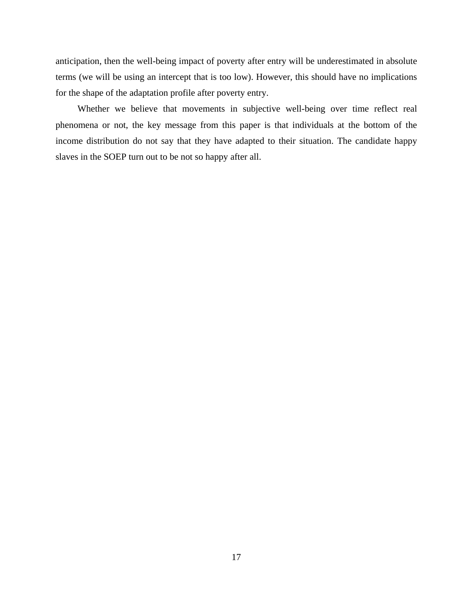anticipation, then the well-being impact of poverty after entry will be underestimated in absolute terms (we will be using an intercept that is too low). However, this should have no implications for the shape of the adaptation profile after poverty entry.

Whether we believe that movements in subjective well-being over time reflect real phenomena or not, the key message from this paper is that individuals at the bottom of the income distribution do not say that they have adapted to their situation. The candidate happy slaves in the SOEP turn out to be not so happy after all.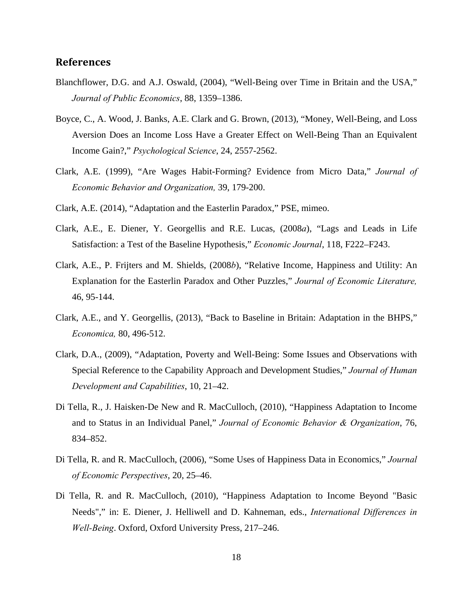#### **References**

- Blanchflower, D.G. and A.J. Oswald, (2004), "Well-Being over Time in Britain and the USA," *Journal of Public Economics*, 88, 1359–1386.
- Boyce, C., A. Wood, J. Banks, A.E. Clark and G. Brown, (2013), "Money, Well-Being, and Loss Aversion Does an Income Loss Have a Greater Effect on Well-Being Than an Equivalent Income Gain?," *Psychological Science*, 24, 2557-2562.
- Clark, A.E. (1999), "Are Wages Habit-Forming? Evidence from Micro Data," *Journal of Economic Behavior and Organization,* 39, 179-200.
- Clark, A.E. (2014), "Adaptation and the Easterlin Paradox," PSE, mimeo.
- Clark, A.E., E. Diener, Y. Georgellis and R.E. Lucas, (2008*a*), "Lags and Leads in Life Satisfaction: a Test of the Baseline Hypothesis," *Economic Journal*, 118, F222–F243.
- Clark, A.E., P. Frijters and M. Shields, (2008*b*), "Relative Income, Happiness and Utility: An Explanation for the Easterlin Paradox and Other Puzzles," *Journal of Economic Literature,*  46, 95-144.
- Clark, A.E., and Y. Georgellis, (2013), "Back to Baseline in Britain: Adaptation in the BHPS," *Economica,* 80, 496-512.
- Clark, D.A., (2009), "Adaptation, Poverty and Well-Being: Some Issues and Observations with Special Reference to the Capability Approach and Development Studies," *Journal of Human Development and Capabilities*, 10, 21–42.
- Di Tella, R., J. Haisken-De New and R. MacCulloch, (2010), "Happiness Adaptation to Income and to Status in an Individual Panel," *Journal of Economic Behavior & Organization*, 76, 834–852.
- Di Tella, R. and R. MacCulloch, (2006), "Some Uses of Happiness Data in Economics," *Journal of Economic Perspectives*, 20, 25–46.
- Di Tella, R. and R. MacCulloch, (2010), "Happiness Adaptation to Income Beyond "Basic Needs"," in: E. Diener, J. Helliwell and D. Kahneman, eds., *International Differences in Well-Being*. Oxford, Oxford University Press, 217–246.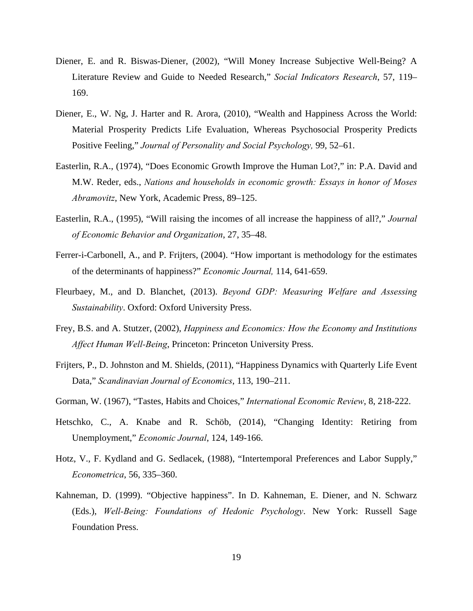- Diener, E. and R. Biswas-Diener, (2002), "Will Money Increase Subjective Well-Being? A Literature Review and Guide to Needed Research," *Social Indicators Research*, 57, 119– 169.
- Diener, E., W. Ng, J. Harter and R. Arora, (2010), "Wealth and Happiness Across the World: Material Prosperity Predicts Life Evaluation, Whereas Psychosocial Prosperity Predicts Positive Feeling," *Journal of Personality and Social Psychology,* 99, 52–61.
- Easterlin, R.A., (1974), "Does Economic Growth Improve the Human Lot?," in: P.A. David and M.W. Reder, eds., *Nations and households in economic growth: Essays in honor of Moses Abramovitz*, New York, Academic Press, 89–125.
- Easterlin, R.A., (1995), "Will raising the incomes of all increase the happiness of all?," *Journal of Economic Behavior and Organization*, 27, 35–48.
- Ferrer-i-Carbonell, A., and P. Frijters, (2004). "How important is methodology for the estimates of the determinants of happiness?" *Economic Journal,* 114, 641-659.
- Fleurbaey, M., and D. Blanchet, (2013). *Beyond GDP: Measuring Welfare and Assessing Sustainability*. Oxford: Oxford University Press.
- Frey, B.S. and A. Stutzer, (2002), *Happiness and Economics: How the Economy and Institutions Affect Human Well-Being*, Princeton: Princeton University Press.
- Frijters, P., D. Johnston and M. Shields, (2011), "Happiness Dynamics with Quarterly Life Event Data," *Scandinavian Journal of Economics*, 113, 190–211.
- Gorman, W. (1967), "Tastes, Habits and Choices," *International Economic Review*, 8, 218-222.
- Hetschko, C., A. Knabe and R. Schöb, (2014), "Changing Identity: Retiring from Unemployment," *Economic Journal*, 124, 149-166.
- Hotz, V., F. Kydland and G. Sedlacek, (1988), "Intertemporal Preferences and Labor Supply," *Econometrica*, 56, 335–360.
- Kahneman, D. (1999). "Objective happiness". In D. Kahneman, E. Diener, and N. Schwarz (Eds.), *Well-Being: Foundations of Hedonic Psychology*. New York: Russell Sage Foundation Press.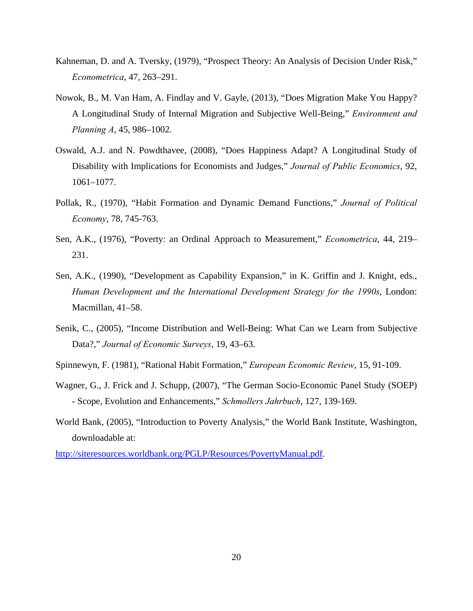- Kahneman, D. and A. Tversky, (1979), "Prospect Theory: An Analysis of Decision Under Risk," *Econometrica*, 47, 263–291.
- Nowok, B., M. Van Ham, A. Findlay and V. Gayle, (2013), "Does Migration Make You Happy? A Longitudinal Study of Internal Migration and Subjective Well-Being," *Environment and Planning A*, 45, 986–1002.
- Oswald, A.J. and N. Powdthavee, (2008), "Does Happiness Adapt? A Longitudinal Study of Disability with Implications for Economists and Judges," *Journal of Public Economics*, 92, 1061–1077.
- Pollak, R., (1970), "Habit Formation and Dynamic Demand Functions," *Journal of Political Economy*, 78, 745-763.
- Sen, A.K., (1976), "Poverty: an Ordinal Approach to Measurement," *Econometrica*, 44, 219– 231.
- Sen, A.K., (1990), "Development as Capability Expansion," in K. Griffin and J. Knight, eds., *Human Development and the International Development Strategy for the 1990s*, London: Macmillan, 41–58.
- Senik, C., (2005), "Income Distribution and Well-Being: What Can we Learn from Subjective Data?," *Journal of Economic Surveys*, 19, 43–63.
- Spinnewyn, F. (1981), "Rational Habit Formation," *European Economic Review*, 15, 91-109.
- Wagner, G., J. Frick and J. Schupp, (2007), "The German Socio-Economic Panel Study (SOEP) - Scope, Evolution and Enhancements," *Schmollers Jahrbuch*, 127, 139-169.
- World Bank, (2005), "Introduction to Poverty Analysis," the World Bank Institute, Washington, downloadable at:

http://siteresources.worldbank.org/PGLP/Resources/PovertyManual.pdf.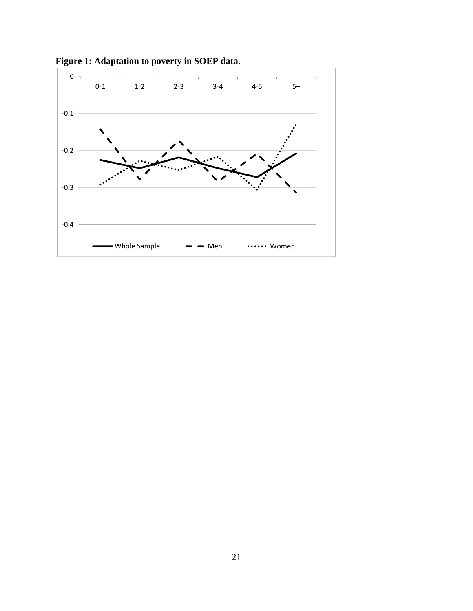

**Figure 1: Adaptation to poverty in SOEP data.**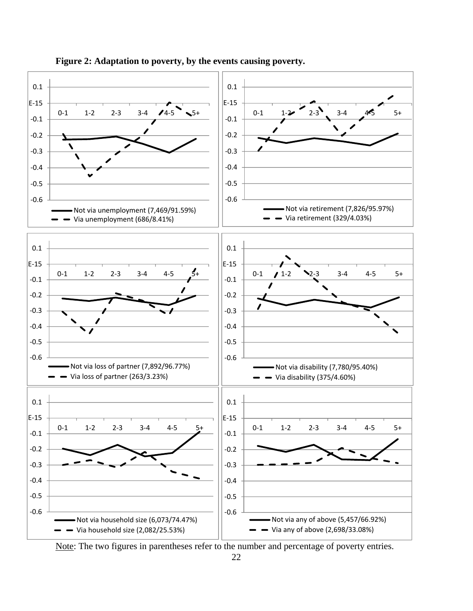

**Figure 2: Adaptation to poverty, by the events causing poverty.** 

Note: The two figures in parentheses refer to the number and percentage of poverty entries.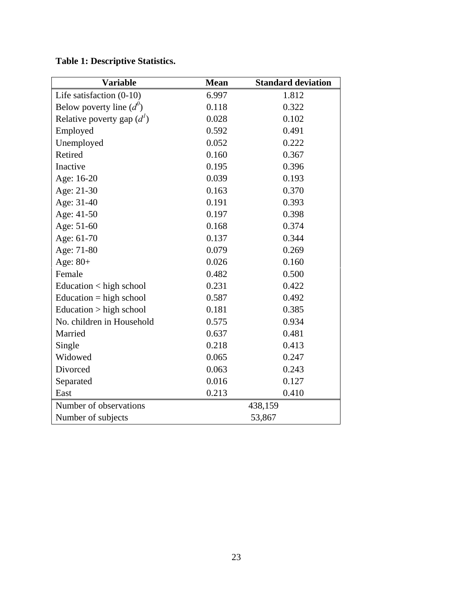| <b>Variable</b>                 | <b>Mean</b> | <b>Standard deviation</b> |
|---------------------------------|-------------|---------------------------|
| Life satisfaction $(0-10)$      | 6.997       | 1.812                     |
| Below poverty line $(d^0)$      | 0.118       | 0.322                     |
| Relative poverty gap $(d1)$     | 0.028       | 0.102                     |
| Employed                        | 0.592       | 0.491                     |
| Unemployed                      | 0.052       | 0.222                     |
| Retired                         | 0.160       | 0.367                     |
| Inactive                        | 0.195       | 0.396                     |
| Age: 16-20                      | 0.039       | 0.193                     |
| Age: 21-30                      | 0.163       | 0.370                     |
| Age: 31-40                      | 0.191       | 0.393                     |
| Age: 41-50                      | 0.197       | 0.398                     |
| Age: 51-60                      | 0.168       | 0.374                     |
| Age: 61-70                      | 0.137       | 0.344                     |
| Age: 71-80                      | 0.079       | 0.269                     |
| Age: $80+$                      | 0.026       | 0.160                     |
| Female                          | 0.482       | 0.500                     |
| Education $\langle$ high school | 0.231       | 0.422                     |
| Education $=$ high school       | 0.587       | 0.492                     |
| Education $>$ high school       | 0.181       | 0.385                     |
| No. children in Household       | 0.575       | 0.934                     |
| Married                         | 0.637       | 0.481                     |
| Single                          | 0.218       | 0.413                     |
| Widowed                         | 0.065       | 0.247                     |
| Divorced                        | 0.063       | 0.243                     |
| Separated                       | 0.016       | 0.127                     |
| East                            | 0.213       | 0.410                     |
| Number of observations          |             | 438,159                   |

Number of subjects 53,867

## **Table 1: Descriptive Statistics.**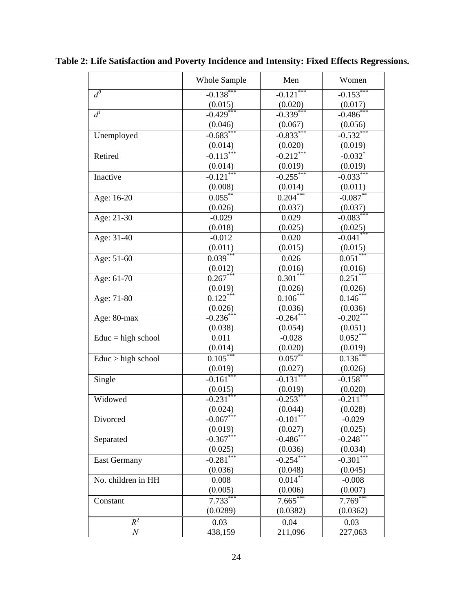|                      | <b>Whole Sample</b>      | Men                      | Women                 |
|----------------------|--------------------------|--------------------------|-----------------------|
| $d^0$                | $-0.138***$              | $-0.121***$              | $-0.153***$           |
|                      |                          | (0.020)                  | (0.017)               |
| $d^I$                | $\frac{(0.015)}{-0.429}$ | $-0.339***$              | $-0.486$ ***          |
|                      | (0.046)                  | (0.067)                  | (0.056)               |
| Unemployed           | $-0.683***$              | $-0.833***$              | $-0.532***$           |
|                      | (0.014)                  | (0.020)                  | (0.019)               |
| Retired              | $-0.113***$              | $-0.212***$              | $-0.032$ *            |
|                      | (0.014)                  | (0.019)                  | (0.019)               |
| Inactive             | $-0.121***$              | $-0.255***$              | $-0.033***$           |
|                      | (0.008)                  | (0.014)                  | (0.011)               |
| Age: 16-20           | $0.055$ **               | $0.204***$               | $-0.087$ **           |
|                      | (0.026)                  | (0.037)                  | (0.037)               |
| Age: 21-30           | $-0.029$                 | 0.029                    | $-0.083***$           |
|                      | (0.018)                  | (0.025)                  | (0.025)               |
| Age: 31-40           | $-0.012$                 | 0.020                    | $-0.041$ ***          |
|                      | (0.011)                  | (0.015)                  | (0.015)               |
| Age: 51-60           | $0.039***$               | 0.026                    | $0.051***$            |
|                      | (0.012)                  | (0.016)                  | (0.016)               |
| Age: 61-70           | $0.267***$               | $0.301***$               | $0.251***$            |
|                      | (0.019)                  | (0.026)                  | (0.026)               |
| Age: 71-80           | 0.122                    | $0.106*$                 | $0.146*$              |
|                      | (0.026)                  | (0.036)                  | (0.036)               |
| Age: 80-max          | $-0.236*$                | $-0.264***$              | $-0.202$ **           |
|                      | (0.038)                  | (0.054)                  | (0.051)               |
| $Educ = high school$ | 0.011                    | $-0.028$                 | 0.052                 |
|                      | (0.014)                  | (0.020)                  | (0.019)               |
| Educ > high school   | $0.105***$               | $0.057***$               | $0.136***$            |
|                      | (0.019)                  | (0.027)                  | (0.026)               |
| Single               | $-0.161***$              | $-0.131***$              | $-0.158***$           |
|                      | $\frac{(0.015)}{-0.231}$ | $\frac{(0.019)}{-0.253}$ | (0.020)               |
| Widowed              |                          |                          | $-0.211***$           |
|                      | (0.024)                  | (0.044)                  | (0.028)               |
| Divorced             | $-0.067***$              | $-0.101$ ***             | $-0.029$              |
|                      | (0.019)                  | (0.027)                  | (0.025)               |
| Separated            | $-0.367$ *               | $-0.486$                 | $-0.248$ <sup>*</sup> |
|                      | (0.025)                  | (0.036)                  | (0.034)               |
| <b>East Germany</b>  | $-0.281***$              | $-0.254***$              | $-0.301$ ***          |
|                      | (0.036)                  | (0.048)                  | (0.045)               |
| No. children in HH   | 0.008                    | $0.014^{**}$             | $-0.008$              |
|                      | (0.005)                  | (0.006)                  | (0.007)               |
| Constant             | $7.733***$               | 7.665                    | $7.769***$            |
|                      | (0.0289)                 | (0.0382)                 | (0.0362)              |
| $R^2$                | 0.03                     | 0.04                     | 0.03                  |
| $\boldsymbol{N}$     | 438,159                  | 211,096                  | 227,063               |

**Table 2: Life Satisfaction and Poverty Incidence and Intensity: Fixed Effects Regressions.**